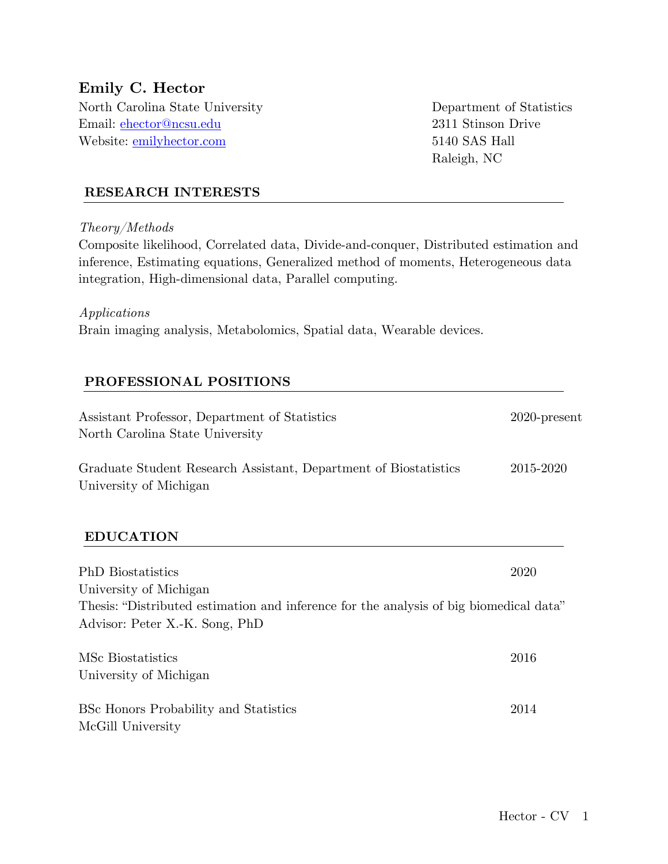# **Emily C. Hector**

North Carolina State University Department of Statistics Email: ehector@ncsu.edu 2311 Stinson Drive Website: <u>emilyhector.com</u> 5140 SAS Hall

Raleigh, NC

### **RESEARCH INTERESTS**

*Theory/Methods*

Composite likelihood, Correlated data, Divide-and-conquer, Distributed estimation and inference, Estimating equations, Generalized method of moments, Heterogeneous data integration, High-dimensional data, Parallel computing.

#### *Applications*

Brain imaging analysis, Metabolomics, Spatial data, Wearable devices.

### **PROFESSIONAL POSITIONS**

| Assistant Professor, Department of Statistics<br>North Carolina State University           | $2020$ -present |
|--------------------------------------------------------------------------------------------|-----------------|
| Graduate Student Research Assistant, Department of Biostatistics<br>University of Michigan | 2015-2020       |
| <b>EDUCATION</b>                                                                           |                 |
| <b>PhD</b> Biostatistics                                                                   | 2020            |
| University of Michigan                                                                     |                 |
| Thesis: "Distributed estimation and inference for the analysis of big biomedical data"     |                 |
| Advisor: Peter X.-K. Song, PhD                                                             |                 |
| MSc Biostatistics                                                                          | 2016            |
| University of Michigan                                                                     |                 |
| BSc Honors Probability and Statistics                                                      | 2014            |
| McGill University                                                                          |                 |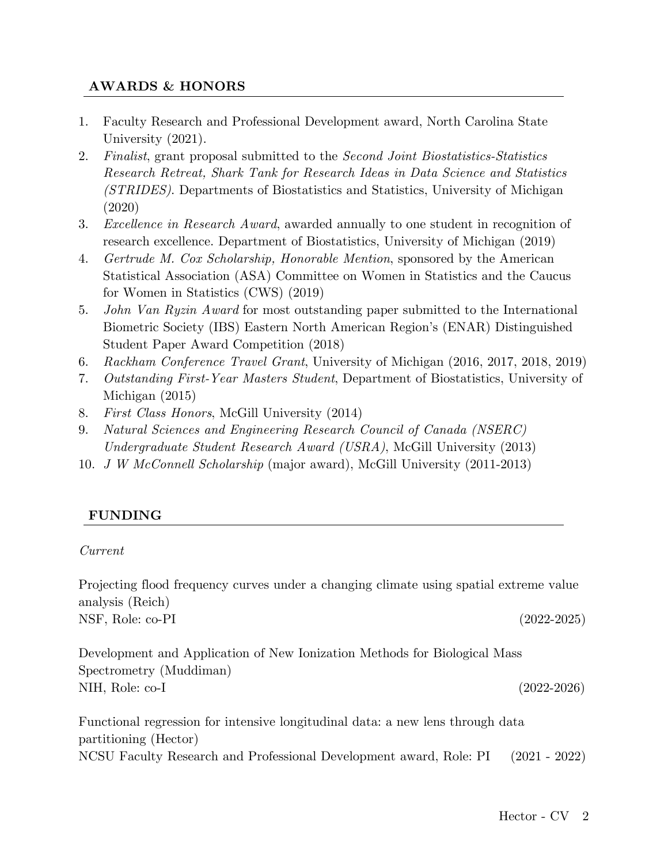### **AWARDS & HONORS**

- 1. Faculty Research and Professional Development award, North Carolina State University (2021).
- 2. *Finalist*, grant proposal submitted to the *Second Joint Biostatistics-Statistics Research Retreat, Shark Tank for Research Ideas in Data Science and Statistics (STRIDES)*. Departments of Biostatistics and Statistics, University of Michigan (2020)
- 3. *Excellence in Research Award*, awarded annually to one student in recognition of research excellence. Department of Biostatistics, University of Michigan (2019)
- 4. *Gertrude M. Cox Scholarship, Honorable Mention*, sponsored by the American Statistical Association (ASA) Committee on Women in Statistics and the Caucus for Women in Statistics (CWS) (2019)
- 5. *John Van Ryzin Award* for most outstanding paper submitted to the International Biometric Society (IBS) Eastern North American Region's (ENAR) Distinguished Student Paper Award Competition (2018)
- 6. *Rackham Conference Travel Grant*, University of Michigan (2016, 2017, 2018, 2019)
- 7. *Outstanding First-Year Masters Student*, Department of Biostatistics, University of Michigan (2015)
- 8. *First Class Honors*, McGill University (2014)
- 9. *Natural Sciences and Engineering Research Council of Canada (NSERC) Undergraduate Student Research Award (USRA)*, McGill University (2013)
- 10. *J W McConnell Scholarship* (major award), McGill University (2011-2013)

### **FUNDING**

#### *Current*

Projecting flood frequency curves under a changing climate using spatial extreme value analysis (Reich) NSF, Role: co-PI (2022-2025)

Development and Application of New Ionization Methods for Biological Mass Spectrometry (Muddiman) NIH, Role: co-I (2022-2026)

Functional regression for intensive longitudinal data: a new lens through data partitioning (Hector) NCSU Faculty Research and Professional Development award, Role: PI (2021 - 2022)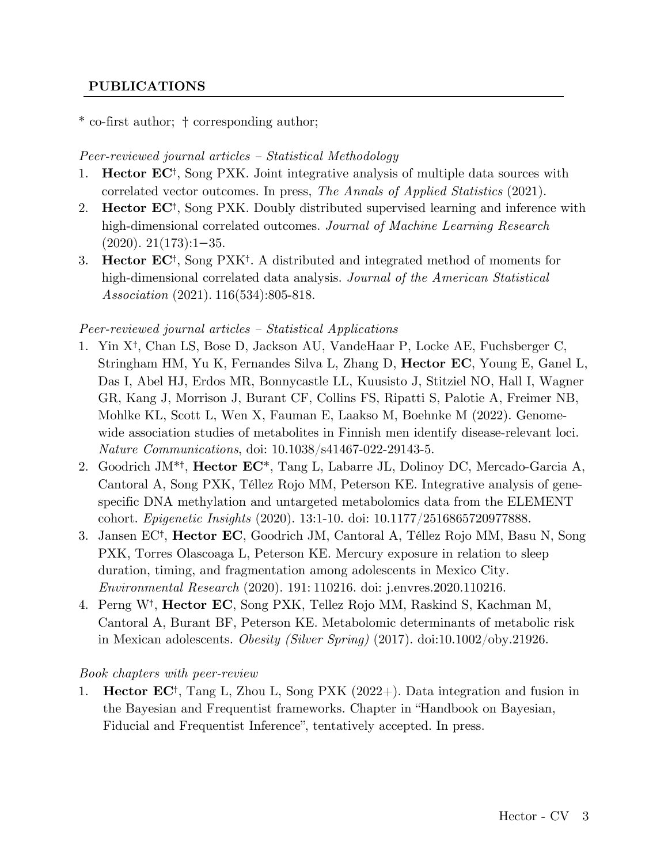### **PUBLICATIONS**

### \* co-first author; † corresponding author;

#### *Peer-reviewed journal articles – Statistical Methodology*

- 1. **Hector EC**†, Song PXK. Joint integrative analysis of multiple data sources with correlated vector outcomes. In press, *The Annals of Applied Statistics* (2021).
- 2. **Hector EC**†, Song PXK. Doubly distributed supervised learning and inference with high-dimensional correlated outcomes. *Journal of Machine Learning Research*  $(2020)$ . 21(173):1−35.
- 3. **Hector EC**†, Song PXK†. A distributed and integrated method of moments for high-dimensional correlated data analysis. *Journal of the American Statistical Association* (2021). 116(534):805-818.

#### *Peer-reviewed journal articles – Statistical Applications*

- 1. Yin X†, Chan LS, Bose D, Jackson AU, VandeHaar P, Locke AE, Fuchsberger C, Stringham HM, Yu K, Fernandes Silva L, Zhang D, **Hector EC**, Young E, Ganel L, Das I, Abel HJ, Erdos MR, Bonnycastle LL, Kuusisto J, Stitziel NO, Hall I, Wagner GR, Kang J, Morrison J, Burant CF, Collins FS, Ripatti S, Palotie A, Freimer NB, Mohlke KL, Scott L, Wen X, Fauman E, Laakso M, Boehnke M (2022). Genomewide association studies of metabolites in Finnish men identify disease-relevant loci. *Nature Communications*, doi: 10.1038/s41467-022-29143-5.
- 2. Goodrich JM\*†, **Hector EC**\*, Tang L, Labarre JL, Dolinoy DC, Mercado-Garcia A, Cantoral A, Song PXK, Téllez Rojo MM, Peterson KE. Integrative analysis of genespecific DNA methylation and untargeted metabolomics data from the ELEMENT cohort. *Epigenetic Insights* (2020). 13:1-10. doi: 10.1177/2516865720977888.
- 3. Jansen EC†, **Hector EC**, Goodrich JM, Cantoral A, Téllez Rojo MM, Basu N, Song PXK, Torres Olascoaga L, Peterson KE. Mercury exposure in relation to sleep duration, timing, and fragmentation among adolescents in Mexico City. *Environmental Research* (2020). 191: 110216. doi: j.envres.2020.110216.
- 4. Perng W†, **Hector EC**, Song PXK, Tellez Rojo MM, Raskind S, Kachman M, Cantoral A, Burant BF, Peterson KE. Metabolomic determinants of metabolic risk in Mexican adolescents. *Obesity (Silver Spring)* (2017). doi:10.1002/oby.21926.

#### *Book chapters with peer-review*

1. **Hector EC**†, Tang L, Zhou L, Song PXK (2022+). Data integration and fusion in the Bayesian and Frequentist frameworks. Chapter in "Handbook on Bayesian, Fiducial and Frequentist Inference", tentatively accepted. In press.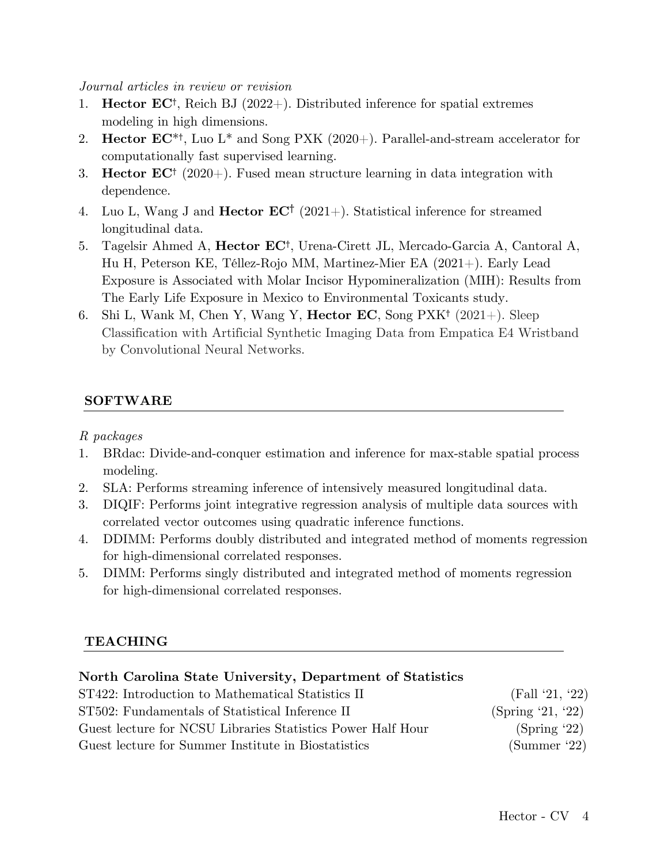*Journal articles in review or revision*

- 1. **Hector EC**†, Reich BJ (2022+). Distributed inference for spatial extremes modeling in high dimensions.
- 2. **Hector EC**\*†, Luo L\* and Song PXK (2020+). Parallel-and-stream accelerator for computationally fast supervised learning.
- 3. **Hector EC**† (2020+). Fused mean structure learning in data integration with dependence.
- 4. Luo L, Wang J and **Hector EC**† (2021+). Statistical inference for streamed longitudinal data.
- 5. Tagelsir Ahmed A, **Hector EC**†, Urena-Cirett JL, Mercado-Garcia A, Cantoral A, Hu H, Peterson KE, Téllez-Rojo MM, Martinez-Mier EA (2021+). Early Lead Exposure is Associated with Molar Incisor Hypomineralization (MIH): Results from The Early Life Exposure in Mexico to Environmental Toxicants study.
- 6. Shi L, Wank M, Chen Y, Wang Y, **Hector EC**, Song PXK† (2021+). Sleep Classification with Artificial Synthetic Imaging Data from Empatica E4 Wristband by Convolutional Neural Networks.

#### **SOFTWARE**

*R packages*

- 1. BRdac: Divide-and-conquer estimation and inference for max-stable spatial process modeling.
- 2. SLA: Performs streaming inference of intensively measured longitudinal data.
- 3. DIQIF: Performs joint integrative regression analysis of multiple data sources with correlated vector outcomes using quadratic inference functions.
- 4. DDIMM: Performs doubly distributed and integrated method of moments regression for high-dimensional correlated responses.
- 5. DIMM: Performs singly distributed and integrated method of moments regression for high-dimensional correlated responses.

### **TEACHING**

### **North Carolina State University, Department of Statistics**

| ST422: Introduction to Mathematical Statistics II           | (Fall '21, '22)    |
|-------------------------------------------------------------|--------------------|
| ST502: Fundamentals of Statistical Inference II             | (Spring $21, 22$ ) |
| Guest lecture for NCSU Libraries Statistics Power Half Hour | (Spring '22)       |
| Guest lecture for Summer Institute in Biostatistics         | (Summer '22)       |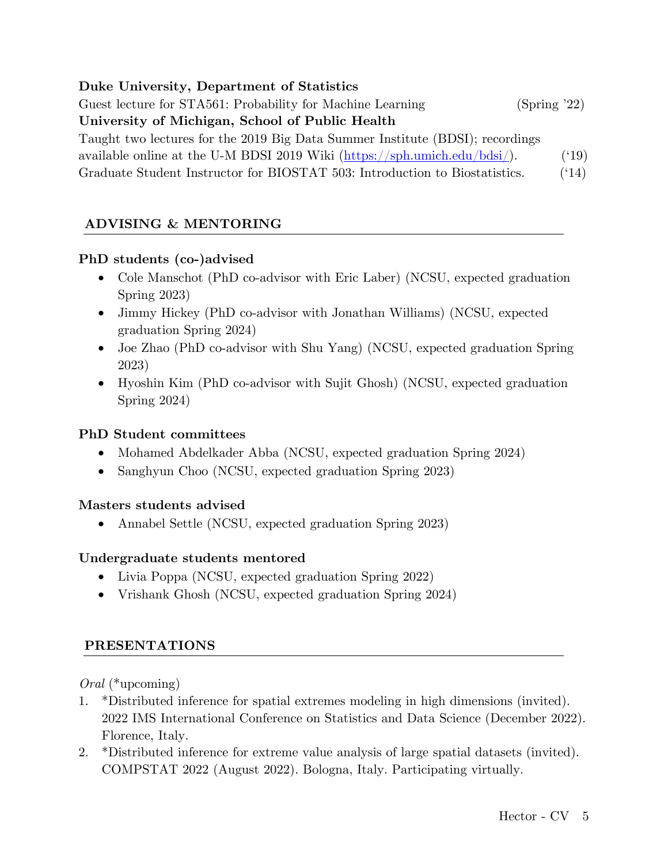### **Duke University, Department of Statistics**

Guest lecture for STA561: Probability for Machine Learning (Spring '22) **University of Michigan, School of Public Health**  Taught two lectures for the 2019 Big Data Summer Institute (BDSI); recordings available online at the U-M BDSI 2019 Wiki  $(\frac{https://sph.umich.edu/bdsi/}{https://sph.umich.edu/bdsi/}).$  ('19) Graduate Student Instructor for BIOSTAT 503: Introduction to Biostatistics. ('14)

# **ADVISING & MENTORING**

### **PhD students (co-)advised**

- Cole Manschot (PhD co-advisor with Eric Laber) (NCSU, expected graduation Spring 2023)
- Jimmy Hickey (PhD co-advisor with Jonathan Williams) (NCSU, expected graduation Spring 2024)
- Joe Zhao (PhD co-advisor with Shu Yang) (NCSU, expected graduation Spring 2023)
- Hyoshin Kim (PhD co-advisor with Sujit Ghosh) (NCSU, expected graduation Spring 2024)

### **PhD Student committees**

- Mohamed Abdelkader Abba (NCSU, expected graduation Spring 2024)
- Sanghyun Choo (NCSU, expected graduation Spring 2023)

### **Masters students advised**

• Annabel Settle (NCSU, expected graduation Spring 2023)

# **Undergraduate students mentored**

- Livia Poppa (NCSU, expected graduation Spring 2022)
- Vrishank Ghosh (NCSU, expected graduation Spring 2024)

### **PRESENTATIONS**

*Oral* (\*upcoming)

- 1. \*Distributed inference for spatial extremes modeling in high dimensions (invited). 2022 IMS International Conference on Statistics and Data Science (December 2022). Florence, Italy.
- 2. \*Distributed inference for extreme value analysis of large spatial datasets (invited). COMPSTAT 2022 (August 2022). Bologna, Italy. Participating virtually.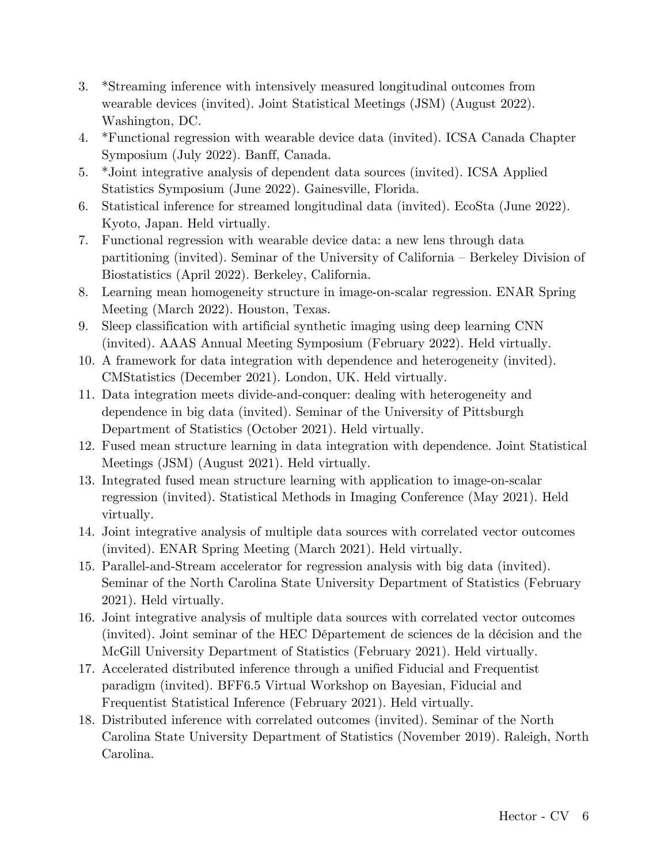- 3. \*Streaming inference with intensively measured longitudinal outcomes from wearable devices (invited). Joint Statistical Meetings (JSM) (August 2022). Washington, DC.
- 4. \*Functional regression with wearable device data (invited). ICSA Canada Chapter Symposium (July 2022). Banff, Canada.
- 5. \*Joint integrative analysis of dependent data sources (invited). ICSA Applied Statistics Symposium (June 2022). Gainesville, Florida.
- 6. Statistical inference for streamed longitudinal data (invited). EcoSta (June 2022). Kyoto, Japan. Held virtually.
- 7. Functional regression with wearable device data: a new lens through data partitioning (invited). Seminar of the University of California – Berkeley Division of Biostatistics (April 2022). Berkeley, California.
- 8. Learning mean homogeneity structure in image-on-scalar regression. ENAR Spring Meeting (March 2022). Houston, Texas.
- 9. Sleep classification with artificial synthetic imaging using deep learning CNN (invited). AAAS Annual Meeting Symposium (February 2022). Held virtually.
- 10. A framework for data integration with dependence and heterogeneity (invited). CMStatistics (December 2021). London, UK. Held virtually.
- 11. Data integration meets divide-and-conquer: dealing with heterogeneity and dependence in big data (invited). Seminar of the University of Pittsburgh Department of Statistics (October 2021). Held virtually.
- 12. Fused mean structure learning in data integration with dependence. Joint Statistical Meetings (JSM) (August 2021). Held virtually.
- 13. Integrated fused mean structure learning with application to image-on-scalar regression (invited). Statistical Methods in Imaging Conference (May 2021). Held virtually.
- 14. Joint integrative analysis of multiple data sources with correlated vector outcomes (invited). ENAR Spring Meeting (March 2021). Held virtually.
- 15. Parallel-and-Stream accelerator for regression analysis with big data (invited). Seminar of the North Carolina State University Department of Statistics (February 2021). Held virtually.
- 16. Joint integrative analysis of multiple data sources with correlated vector outcomes (invited). Joint seminar of the HEC Département de sciences de la décision and the McGill University Department of Statistics (February 2021). Held virtually.
- 17. Accelerated distributed inference through a unified Fiducial and Frequentist paradigm (invited). BFF6.5 Virtual Workshop on Bayesian, Fiducial and Frequentist Statistical Inference (February 2021). Held virtually.
- 18. Distributed inference with correlated outcomes (invited). Seminar of the North Carolina State University Department of Statistics (November 2019). Raleigh, North Carolina.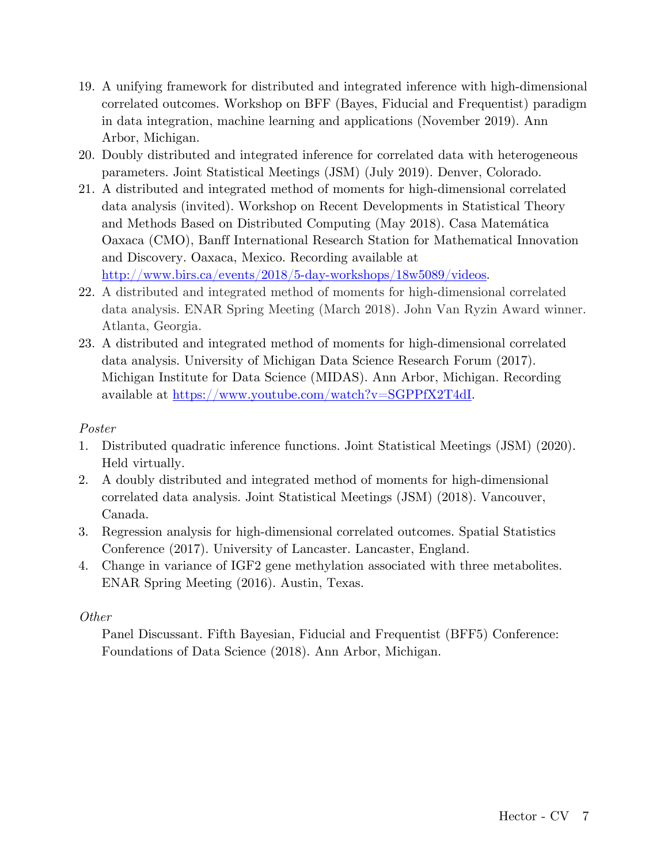- 19. A unifying framework for distributed and integrated inference with high-dimensional correlated outcomes. Workshop on BFF (Bayes, Fiducial and Frequentist) paradigm in data integration, machine learning and applications (November 2019). Ann Arbor, Michigan.
- 20. Doubly distributed and integrated inference for correlated data with heterogeneous parameters. Joint Statistical Meetings (JSM) (July 2019). Denver, Colorado.
- 21. A distributed and integrated method of moments for high-dimensional correlated data analysis (invited). Workshop on Recent Developments in Statistical Theory and Methods Based on Distributed Computing (May 2018). Casa Matemática Oaxaca (CMO), Banff International Research Station for Mathematical Innovation and Discovery. Oaxaca, Mexico. Recording available at http://www.birs.ca/events/2018/5-day-workshops/18w5089/videos.
- 22. A distributed and integrated method of moments for high-dimensional correlated data analysis. ENAR Spring Meeting (March 2018). John Van Ryzin Award winner. Atlanta, Georgia.
- 23. A distributed and integrated method of moments for high-dimensional correlated data analysis. University of Michigan Data Science Research Forum (2017). Michigan Institute for Data Science (MIDAS). Ann Arbor, Michigan. Recording available at https://www.youtube.com/watch?v=SGPPfX2T4dI.

## *Poster*

- 1. Distributed quadratic inference functions. Joint Statistical Meetings (JSM) (2020). Held virtually.
- 2. A doubly distributed and integrated method of moments for high-dimensional correlated data analysis. Joint Statistical Meetings (JSM) (2018). Vancouver, Canada.
- 3. Regression analysis for high-dimensional correlated outcomes. Spatial Statistics Conference (2017). University of Lancaster. Lancaster, England.
- 4. Change in variance of IGF2 gene methylation associated with three metabolites. ENAR Spring Meeting (2016). Austin, Texas.

### *Other*

Panel Discussant. Fifth Bayesian, Fiducial and Frequentist (BFF5) Conference: Foundations of Data Science (2018). Ann Arbor, Michigan.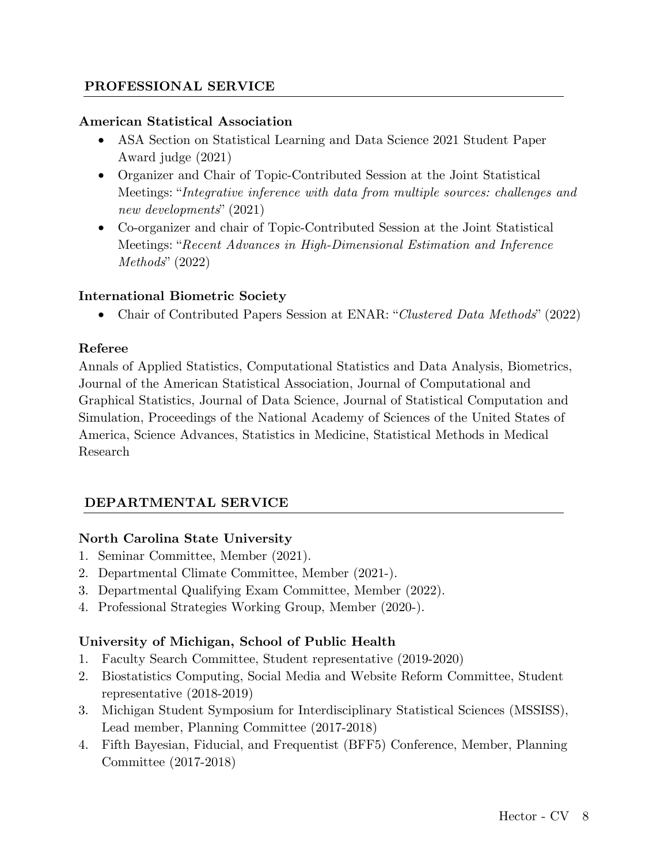### **PROFESSIONAL SERVICE**

#### **American Statistical Association**

- ASA Section on Statistical Learning and Data Science 2021 Student Paper Award judge (2021)
- Organizer and Chair of Topic-Contributed Session at the Joint Statistical Meetings: "*Integrative inference with data from multiple sources: challenges and new developments*" (2021)
- Co-organizer and chair of Topic-Contributed Session at the Joint Statistical Meetings: "*Recent Advances in High-Dimensional Estimation and Inference Methods*" (2022)

### **International Biometric Society**

• Chair of Contributed Papers Session at ENAR: "*Clustered Data Methods*" (2022)

#### **Referee**

Annals of Applied Statistics, Computational Statistics and Data Analysis, Biometrics, Journal of the American Statistical Association, Journal of Computational and Graphical Statistics, Journal of Data Science, Journal of Statistical Computation and Simulation, Proceedings of the National Academy of Sciences of the United States of America, Science Advances, Statistics in Medicine, Statistical Methods in Medical Research

### **DEPARTMENTAL SERVICE**

### **North Carolina State University**

- 1. Seminar Committee, Member (2021).
- 2. Departmental Climate Committee, Member (2021-).
- 3. Departmental Qualifying Exam Committee, Member (2022).
- 4. Professional Strategies Working Group, Member (2020-).

### **University of Michigan, School of Public Health**

- 1. Faculty Search Committee, Student representative (2019-2020)
- 2. Biostatistics Computing, Social Media and Website Reform Committee, Student representative (2018-2019)
- 3. Michigan Student Symposium for Interdisciplinary Statistical Sciences (MSSISS), Lead member, Planning Committee (2017-2018)
- 4. Fifth Bayesian, Fiducial, and Frequentist (BFF5) Conference, Member, Planning Committee (2017-2018)